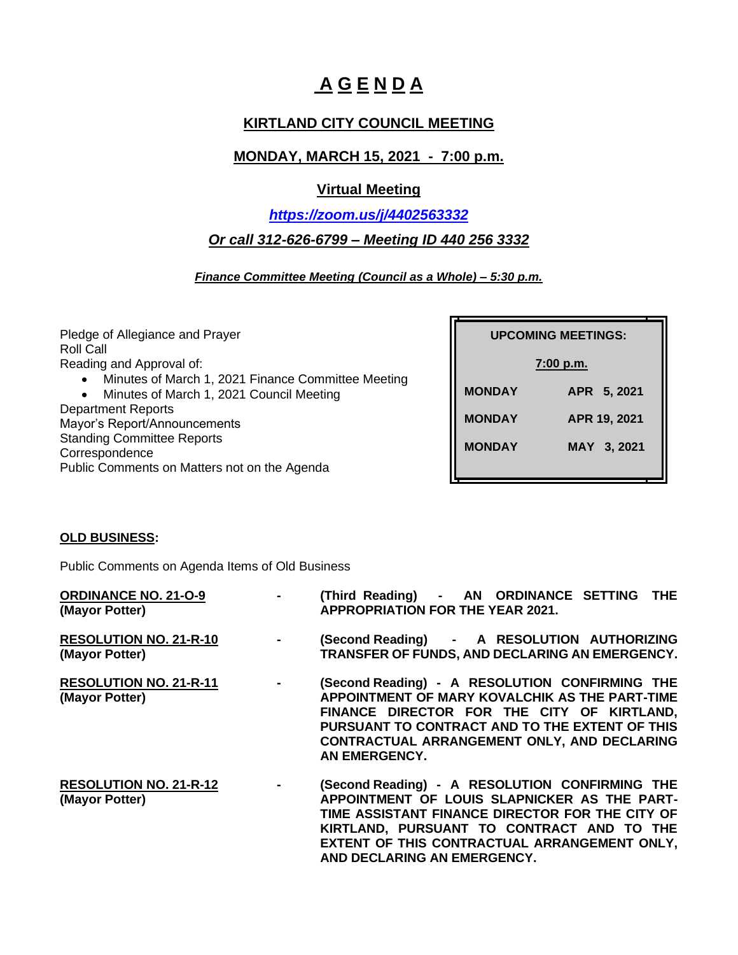# **A G E N D A**

#### **KIRTLAND CITY COUNCIL MEETING**

## **MONDAY, MARCH 15, 2021 - 7:00 p.m.**

## **Virtual Meeting**

# *<https://zoom.us/j/4402563332>*

## *Or call 312-626-6799 – Meeting ID 440 256 3332*

#### *Finance Committee Meeting (Council as a Whole) – 5:30 p.m.*

| Pledge of Allegiance and Prayer                    | <b>UPCOMING MEETINGS:</b> |              |
|----------------------------------------------------|---------------------------|--------------|
| <b>Roll Call</b>                                   |                           |              |
| Reading and Approval of:                           | $7:00$ p.m.               |              |
| Minutes of March 1, 2021 Finance Committee Meeting |                           |              |
| Minutes of March 1, 2021 Council Meeting           | <b>MONDAY</b>             | APR 5, 2021  |
| <b>Department Reports</b>                          |                           |              |
| Mayor's Report/Announcements                       | <b>MONDAY</b>             | APR 19, 2021 |
| <b>Standing Committee Reports</b>                  |                           |              |
| Correspondence                                     | <b>MONDAY</b>             | MAY 3, 2021  |
| Public Comments on Matters not on the Agenda       |                           |              |

#### **OLD BUSINESS:**

Public Comments on Agenda Items of Old Business

| <b>ORDINANCE NO. 21-O-9</b><br>(Mayor Potter)   | <b>Contract Contract</b>                       | (Third Reading) - AN ORDINANCE SETTING THE<br><b>APPROPRIATION FOR THE YEAR 2021.</b>                                                                                                                                                                                         |
|-------------------------------------------------|------------------------------------------------|-------------------------------------------------------------------------------------------------------------------------------------------------------------------------------------------------------------------------------------------------------------------------------|
| <b>RESOLUTION NO. 21-R-10</b><br>(Mayor Potter) | $\mathbf{m}$ and $\mathbf{m}$ and $\mathbf{m}$ | (Second Reading) - A RESOLUTION AUTHORIZING<br>TRANSFER OF FUNDS, AND DECLARING AN EMERGENCY.                                                                                                                                                                                 |
| <b>RESOLUTION NO. 21-R-11</b><br>(Mayor Potter) | $\bullet$ - $\bullet$ - $\bullet$ -            | (Second Reading) - A RESOLUTION CONFIRMING THE<br>APPOINTMENT OF MARY KOVALCHIK AS THE PART-TIME<br>FINANCE DIRECTOR FOR THE CITY OF KIRTLAND,<br>PURSUANT TO CONTRACT AND TO THE EXTENT OF THIS<br>CONTRACTUAL ARRANGEMENT ONLY, AND DECLARING<br>AN EMERGENCY.              |
| <b>RESOLUTION NO. 21-R-12</b><br>(Mayor Potter) | $\sim 100$                                     | (Second Reading) - A RESOLUTION CONFIRMING THE<br>APPOINTMENT OF LOUIS SLAPNICKER AS THE PART-<br>TIME ASSISTANT FINANCE DIRECTOR FOR THE CITY OF<br>KIRTLAND, PURSUANT TO CONTRACT AND TO THE<br>EXTENT OF THIS CONTRACTUAL ARRANGEMENT ONLY,<br>AND DECLARING AN EMERGENCY. |